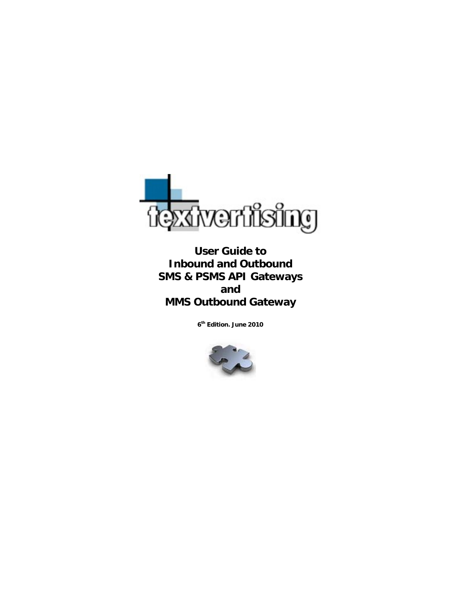

**User Guide to Inbound and Outbound SMS & PSMS API Gateways and MMS Outbound Gateway** 

**6th Edition. June 2010** 

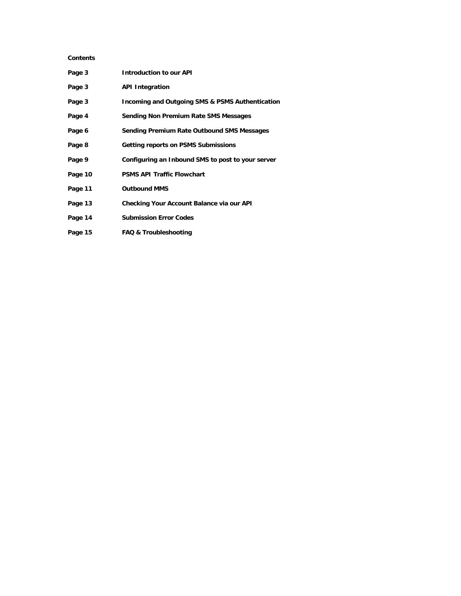# **Contents**

| Page 3  | <b>Introduction to our API</b>                             |
|---------|------------------------------------------------------------|
| Page 3  | <b>API Integration</b>                                     |
| Page 3  | <b>Incoming and Outgoing SMS &amp; PSMS Authentication</b> |
| Page 4  | Sending Non Premium Rate SMS Messages                      |
| Page 6  | Sending Premium Rate Outbound SMS Messages                 |
| Page 8  | <b>Getting reports on PSMS Submissions</b>                 |
| Page 9  | Configuring an Inbound SMS to post to your server          |
| Page 10 | <b>PSMS API Traffic Flowchart</b>                          |
| Page 11 | <b>Outbound MMS</b>                                        |
| Page 13 | Checking Your Account Balance via our API                  |
| Page 14 | <b>Submission Error Codes</b>                              |
| Page 15 | <b>FAQ &amp; Troubleshooting</b>                           |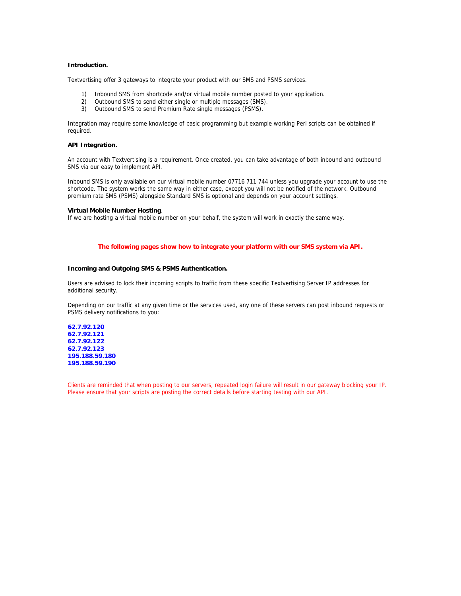### **Introduction.**

Textvertising offer 3 gateways to integrate your product with our SMS and PSMS services.

- 1) Inbound SMS from shortcode and/or virtual mobile number posted to your application.
- 2) Outbound SMS to send either single or multiple messages (SMS).
- 3) Outbound SMS to send Premium Rate single messages (PSMS).

Integration may require some knowledge of basic programming but example working Perl scripts can be obtained if required.

## **API Integration.**

An account with Textvertising is a requirement. Once created, you can take advantage of both inbound and outbound SMS via our easy to implement API.

Inbound SMS is only available on our virtual mobile number 07716 711 744 unless you upgrade your account to use the shortcode. The system works the same way in either case, except you will not be notified of the network. Outbound premium rate SMS (PSMS) alongside Standard SMS is optional and depends on your account settings.

#### **Virtual Mobile Number Hosting**.

If we are hosting a virtual mobile number on your behalf, the system will work in exactly the same way.

### **The following pages show how to integrate your platform with our SMS system via API.**

### **Incoming and Outgoing SMS & PSMS Authentication.**

Users are advised to lock their incoming scripts to traffic from these specific Textvertising Server IP addresses for additional security.

Depending on our traffic at any given time or the services used, any one of these servers can post inbound requests or PSMS delivery notifications to you:

**62.7.92.120 62.7.92.121 62.7.92.122 62.7.92.123 195.188.59.180 195.188.59.190** 

Clients are reminded that when posting to our servers, repeated login failure will result in our gateway blocking your IP. Please ensure that your scripts are posting the correct details before starting testing with our API.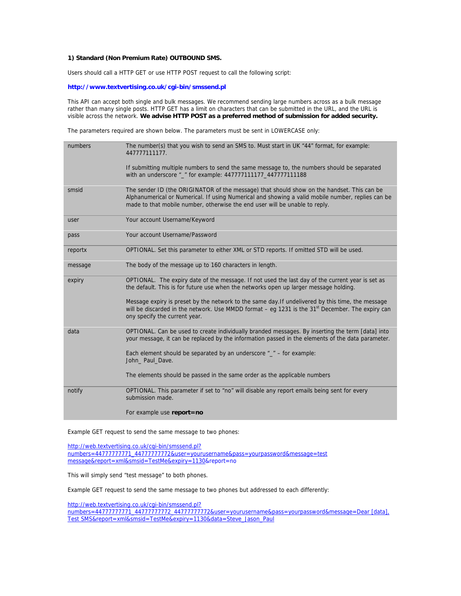### **1) Standard (Non Premium Rate) OUTBOUND SMS.**

Users should call a HTTP GET or use HTTP POST request to call the following script:

### **http://www.textvertising.co.uk/cgi-bin/smssend.pl**

This API can accept both single and bulk messages. We recommend sending large numbers across as a bulk message rather than many single posts. HTTP GET has a limit on characters that can be submitted in the URL, and the URL is visible across the network. **We advise HTTP POST as a preferred method of submission for added security.**

The parameters required are shown below. The parameters must be sent in LOWERCASE only:

| numbers | The number(s) that you wish to send an SMS to. Must start in UK "44" format, for example:<br>447777111177.                                                                                                                                                                     |
|---------|--------------------------------------------------------------------------------------------------------------------------------------------------------------------------------------------------------------------------------------------------------------------------------|
|         | If submitting multiple numbers to send the same message to, the numbers should be separated<br>with an underscore "_" for example: 447777111177_447777111188                                                                                                                   |
| smsid   | The sender ID (the ORIGINATOR of the message) that should show on the handset. This can be<br>Alphanumerical or Numerical. If using Numerical and showing a valid mobile number, replies can be<br>made to that mobile number, otherwise the end user will be unable to reply. |
| user    | Your account Username/Keyword                                                                                                                                                                                                                                                  |
| pass    | Your account Username/Password                                                                                                                                                                                                                                                 |
| reportx | OPTIONAL. Set this parameter to either XML or STD reports. If omitted STD will be used.                                                                                                                                                                                        |
| message | The body of the message up to 160 characters in length.                                                                                                                                                                                                                        |
| expiry  | OPTIONAL. The expiry date of the message. If not used the last day of the current year is set as<br>the default. This is for future use when the networks open up larger message holding.                                                                                      |
|         | Message expiry is preset by the network to the same day. If undelivered by this time, the message<br>will be discarded in the network. Use MMDD format – eq 1231 is the 31 <sup>st</sup> December. The expiry can<br>ony specify the current year.                             |
| data    | OPTIONAL. Can be used to create individually branded messages. By inserting the term [data] into<br>your message, it can be replaced by the information passed in the elements of the data parameter.                                                                          |
|         | Each element should be separated by an underscore $\frac{m}{n}$ – for example:<br>John_ Paul_Dave.                                                                                                                                                                             |
|         | The elements should be passed in the same order as the applicable numbers                                                                                                                                                                                                      |
| notify  | OPTIONAL. This parameter if set to "no" will disable any report emails being sent for every<br>submission made.                                                                                                                                                                |
|         | For example use report=no                                                                                                                                                                                                                                                      |

Example GET request to send the same message to two phones:

http://web.textvertising.co.uk/cgi-bin/smssend.pl? numbers=44777777771\_44777777772&user=yourusername&pass=yourpassword&message=test message&report=xml&smsid=TestMe&expiry=1130&report=no

This will simply send "test message" to both phones.

Example GET request to send the same message to two phones but addressed to each differently:

http://web.textvertising.co.uk/cgi-bin/smssend.pl? numbers=44777777771\_4477777772\_4477777772&user=yourusername&pass=yourpassword&message=Dear [data], Test SMS&report=xml&smsid=TestMe&expiry=1130&data=Steve\_Jason\_Paul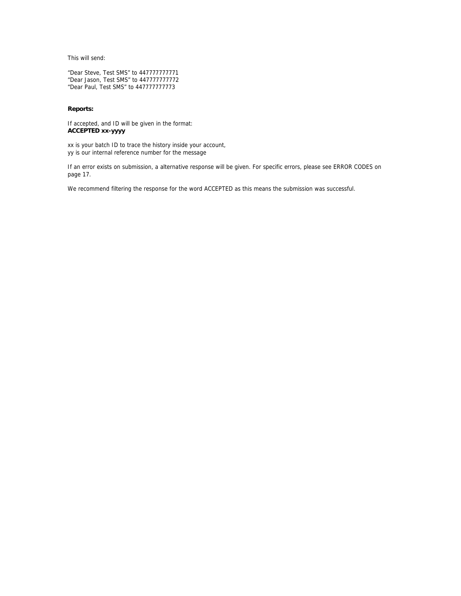This will send:

"Dear Steve, Test SMS" to 447777777771 "Dear Jason, Test SMS" to 447777777772 "Dear Paul, Test SMS" to 447777777773

## **Reports:**

If accepted, and ID will be given in the format: **ACCEPTED xx-yyyy** 

xx is your batch ID to trace the history inside your account, yy is our internal reference number for the message

If an error exists on submission, a alternative response will be given. For specific errors, please see ERROR CODES on page 17.

We recommend filtering the response for the word ACCEPTED as this means the submission was successful.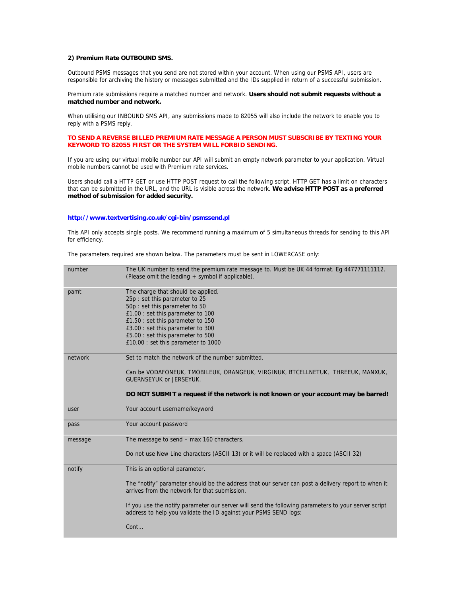## **2) Premium Rate OUTBOUND SMS.**

Outbound PSMS messages that you send are not stored within your account. When using our PSMS API, users are responsible for archiving the history or messages submitted and the IDs supplied in return of a successful submission.

Premium rate submissions require a matched number and network. **Users should not submit requests without a matched number and network.** 

When utilising our INBOUND SMS API, any submissions made to 82055 will also include the network to enable you to reply with a PSMS reply.

## **TO SEND A REVERSE BILLED PREMIUM RATE MESSAGE A PERSON MUST SUBSCRIBE BY TEXTING YOUR KEYWORD TO 82055 FIRST OR THE SYSTEM WILL FORBID SENDING.**

If you are using our virtual mobile number our API will submit an empty network parameter to your application. Virtual mobile numbers cannot be used with Premium rate services.

Users should call a HTTP GET or use HTTP POST request to call the following script. HTTP GET has a limit on characters that can be submitted in the URL, and the URL is visible across the network. **We advise HTTP POST as a preferred method of submission for added security.**

#### **http://www.textvertising.co.uk/cgi-bin/psmssend.pl**

This API only accepts single posts. We recommend running a maximum of 5 simultaneous threads for sending to this API for efficiency.

The parameters required are shown below. The parameters must be sent in LOWERCASE only:

| number  | The UK number to send the premium rate message to. Must be UK 44 format. Eq 447771111112.<br>(Please omit the leading + symbol if applicable).                                                                                                                                                                                                                   |
|---------|------------------------------------------------------------------------------------------------------------------------------------------------------------------------------------------------------------------------------------------------------------------------------------------------------------------------------------------------------------------|
| pamt    | The charge that should be applied.<br>25p : set this parameter to 25<br>50p : set this parameter to 50<br>£1.00 : set this parameter to 100<br>£1.50 : set this parameter to 150<br>£3.00 : set this parameter to 300<br>£5.00 : set this parameter to 500<br>£10.00 : set this parameter to 1000                                                                |
| network | Set to match the network of the number submitted.<br>Can be VODAFONEUK, TMOBILEUK, ORANGEUK, VIRGINUK, BTCELLNETUK, THREEUK, MANXUK,<br><b>GUERNSEYUK or JERSEYUK.</b><br>DO NOT SUBMIT a request if the network is not known or your account may be barred!                                                                                                     |
|         |                                                                                                                                                                                                                                                                                                                                                                  |
| user    | Your account username/keyword                                                                                                                                                                                                                                                                                                                                    |
| pass    | Your account password                                                                                                                                                                                                                                                                                                                                            |
| message | The message to send – max 160 characters.<br>Do not use New Line characters (ASCII 13) or it will be replaced with a space (ASCII 32)                                                                                                                                                                                                                            |
| notify  | This is an optional parameter.<br>The "notify" parameter should be the address that our server can post a delivery report to when it<br>arrives from the network for that submission.<br>If you use the notify parameter our server will send the following parameters to your server script<br>address to help you validate the ID against your PSMS SEND logs: |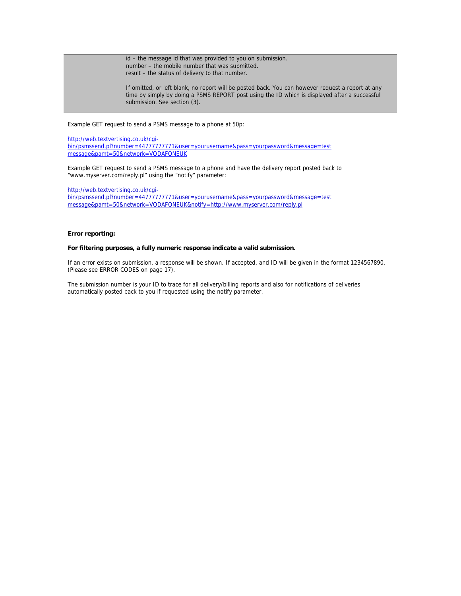id – the message id that was provided to you on submission. number – the mobile number that was submitted. result – the status of delivery to that number.

If omitted, or left blank, no report will be posted back. You can however request a report at any time by simply by doing a PSMS REPORT post using the ID which is displayed after a successful submission. See section (3).

Example GET request to send a PSMS message to a phone at 50p:

http://web.textvertising.co.uk/cgibin/psmssend.pl?number=44777777771&user=yourusername&pass=yourpassword&message=test message&pamt=50&network=VODAFONEUK

Example GET request to send a PSMS message to a phone and have the delivery report posted back to "www.myserver.com/reply.pl" using the "notify" parameter:

http://web.textvertising.co.uk/cgi-

bin/psmssend.pl?number=44777777771&user=yourusername&pass=yourpassword&message=test message&pamt=50&network=VODAFONEUK&notify=http://www.myserver.com/reply.pl

## **Error reporting:**

### **For filtering purposes, a fully numeric response indicate a valid submission.**

If an error exists on submission, a response will be shown. If accepted, and ID will be given in the format 1234567890. (Please see ERROR CODES on page 17).

The submission number is your ID to trace for all delivery/billing reports and also for notifications of deliveries automatically posted back to you if requested using the notify parameter.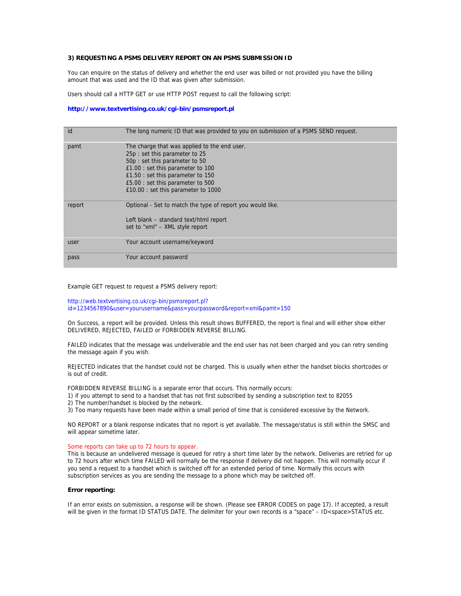## **3) REQUESTING A PSMS DELIVERY REPORT ON AN PSMS SUBMISSION ID**

You can enquire on the status of delivery and whether the end user was billed or not provided you have the billing amount that was used and the ID that was given after submission.

Users should call a HTTP GET or use HTTP POST request to call the following script:

### **http://www.textvertising.co.uk/cgi-bin/psmsreport.pl**

| id     | The long numeric ID that was provided to you on submission of a PSMS SEND request.                                                                                                                                              |
|--------|---------------------------------------------------------------------------------------------------------------------------------------------------------------------------------------------------------------------------------|
| pamt   | The charge that was applied to the end user.<br>25p : set this parameter to 25<br>50p : set this parameter to 50<br>£1.00 : set this parameter to 100<br>£1.50 : set this parameter to 150<br>£5.00 : set this parameter to 500 |
| report | £10.00 : set this parameter to 1000<br>Optional - Set to match the type of report you would like.<br>Left blank – standard text/html report<br>set to "xml" – XML style report                                                  |
| user   | Your account username/keyword                                                                                                                                                                                                   |
| pass   | Your account password                                                                                                                                                                                                           |

Example GET request to request a PSMS delivery report:

http://web.textvertising.co.uk/cgi-bin/psmsreport.pl? id=1234567890&user=yourusername&pass=yourpassword&report=xml&pamt=150

On Success, a report will be provided. Unless this result shows BUFFERED, the report is final and will either show either DELIVERED, REJECTED, FAILED or FORBIDDEN REVERSE BILLING.

FAILED indicates that the message was undeliverable and the end user has not been charged and you can retry sending the message again if you wish.

REJECTED indicates that the handset could not be charged. This is usually when either the handset blocks shortcodes or is out of credit.

FORBIDDEN REVERSE BILLING is a separate error that occurs. This normally occurs:

- 1) if you attempt to send to a handset that has not first subscribed by sending a subscription text to 82055
- 2) The number/handset is blocked by the network.

3) Too many requests have been made within a small period of time that is considered excessive by the Network.

NO REPORT or a blank response indicates that no report is yet available. The message/status is still within the SMSC and will appear sometime later.

#### Some reports can take up to 72 hours to appear.

This is because an undelivered message is queued for retry a short time later by the network. Deliveries are retried for up to 72 hours after which time FAILED will normally be the response if delivery did not happen. This will normally occur if you send a request to a handset which is switched off for an extended period of time. Normally this occurs with subscription services as you are sending the message to a phone which may be switched off.

### **Error reporting:**

If an error exists on submission, a response will be shown. (Please see ERROR CODES on page 17). If accepted, a result will be given in the format ID STATUS DATE. The delimiter for your own records is a "space" – ID<space>STATUS etc.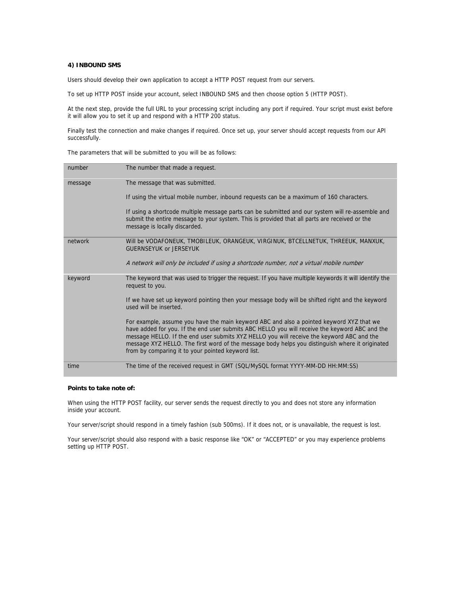### **4) INBOUND SMS**

Users should develop their own application to accept a HTTP POST request from our servers.

To set up HTTP POST inside your account, select INBOUND SMS and then choose option 5 (HTTP POST).

At the next step, provide the full URL to your processing script including any port if required. Your script must exist before it will allow you to set it up and respond with a HTTP 200 status.

Finally test the connection and make changes if required. Once set up, your server should accept requests from our API successfully.

The parameters that will be submitted to you will be as follows:

| number  | The number that made a request.                                                                                                                                                                                                                                                                                                                                                                                                                  |
|---------|--------------------------------------------------------------------------------------------------------------------------------------------------------------------------------------------------------------------------------------------------------------------------------------------------------------------------------------------------------------------------------------------------------------------------------------------------|
| message | The message that was submitted.                                                                                                                                                                                                                                                                                                                                                                                                                  |
|         | If using the virtual mobile number, inbound requests can be a maximum of 160 characters.                                                                                                                                                                                                                                                                                                                                                         |
|         | If using a shortcode multiple message parts can be submitted and our system will re-assemble and<br>submit the entire message to your system. This is provided that all parts are received or the<br>message is locally discarded.                                                                                                                                                                                                               |
| network | WIII be VODAFONEUK, TMOBILEUK, ORANGEUK, VIRGINUK, BTCELLNETUK, THREEUK, MANXUK,<br><b>GUERNSEYUK or JERSEYUK</b>                                                                                                                                                                                                                                                                                                                                |
|         | A network will only be included if using a shortcode number, not a virtual mobile number                                                                                                                                                                                                                                                                                                                                                         |
| keyword | The keyword that was used to trigger the request. If you have multiple keywords it will identify the<br>request to you.                                                                                                                                                                                                                                                                                                                          |
|         | If we have set up keyword pointing then your message body will be shifted right and the keyword<br>used will be inserted.                                                                                                                                                                                                                                                                                                                        |
|         | For example, assume you have the main keyword ABC and also a pointed keyword XYZ that we<br>have added for you. If the end user submits ABC HELLO you will receive the keyword ABC and the<br>message HELLO. If the end user submits XYZ HELLO you will receive the keyword ABC and the<br>message XYZ HELLO. The first word of the message body helps you distinguish where it originated<br>from by comparing it to your pointed keyword list. |
| time    | The time of the received request in GMT (SQL/MySQL format YYYY-MM-DD HH:MM:SS)                                                                                                                                                                                                                                                                                                                                                                   |

#### **Points to take note of:**

When using the HTTP POST facility, our server sends the request directly to you and does not store any information inside your account.

Your server/script should respond in a timely fashion (sub 500ms). If it does not, or is unavailable, the request is lost.

Your server/script should also respond with a basic response like "OK" or "ACCEPTED" or you may experience problems setting up HTTP POST.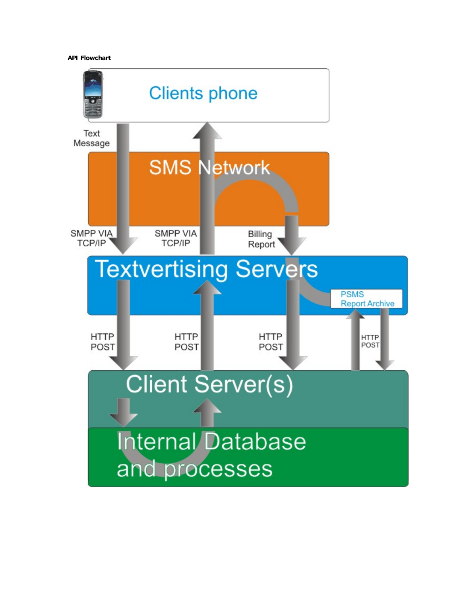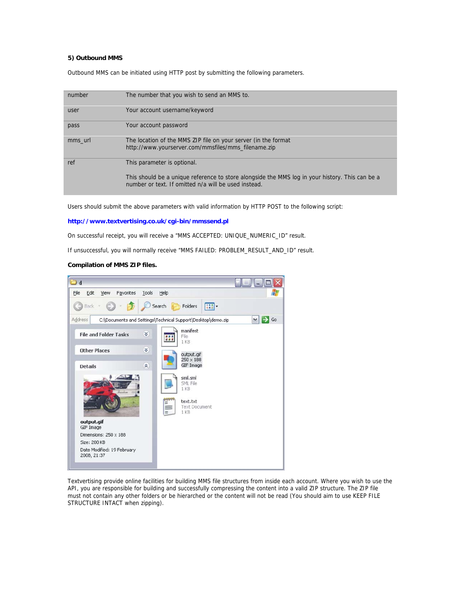## **5) Outbound MMS**

Outbound MMS can be initiated using HTTP post by submitting the following parameters.

| number  | The number that you wish to send an MMS to.                                                                                                             |
|---------|---------------------------------------------------------------------------------------------------------------------------------------------------------|
| user    | Your account username/keyword                                                                                                                           |
| pass    | Your account password                                                                                                                                   |
| mms url | The location of the MMS ZIP file on your server (in the format<br>http://www.yourserver.com/mmsfiles/mms_filename.zip                                   |
| ref     | This parameter is optional.                                                                                                                             |
|         | This should be a unique reference to store alongside the MMS log in your history. This can be a<br>number or text. If omitted n/a will be used instead. |

Users should submit the above parameters with valid information by HTTP POST to the following script:

### **http://www.textvertising.co.uk/cgi-bin/mmssend.pl**

On successful receipt, you will receive a "MMS ACCEPTED: UNIQUE\_NUMERIC\_ID" result.

If unsuccessful, you will normally receive "MMS FAILED: PROBLEM\_RESULT\_AND\_ID" result.

## **Compilation of MMS ZIP files.**



Textvertising provide online facilities for building MMS file structures from inside each account. Where you wish to use the API, you are responsible for building and successfully compressing the content into a valid ZIP structure. The ZIP file must not contain any other folders or be hierarched or the content will not be read (You should aim to use KEEP FILE STRUCTURE INTACT when zipping).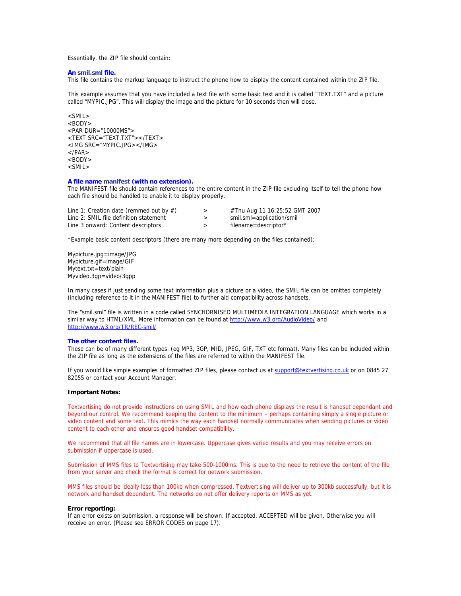Essentially, the ZIP file should contain:

#### **An smil.sml file.**

This file contains the markup language to instruct the phone how to display the content contained within the ZIP file.

This example assumes that you have included a text file with some basic text and it is called "TEXT.TXT" and a picture called "MYPIC.JPG". This will display the image and the picture for 10 seconds then will close.

 $<$ SMIL $>$  $<$ BODY $>$ <PAR DUR="10000MS"> <TEXT SRC="TEXT.TXT"></TEXT> <IMG SRC="MYPIC.JPG></IMG>  $<$ /PAR $>$  $<$ BODY $>$ <SMIL>

### **A file name manifest (with no extension).**

The MANIFEST file should contain references to the entire content in the ZIP file excluding itself to tell the phone how each file should be handled to enable it to display properly.

| Line 1: Creation date (remmed out by $#$ ) |   | #Thu Aug 11 16:25:52 GMT 2007 |
|--------------------------------------------|---|-------------------------------|
| Line 2: SMIL file definition statement     | > | smil.sml=application/smil     |
| Line 3 onward: Content descriptors         |   | filename=descriptor*          |

\*Example basic content descriptors (there are many more depending on the files contained):

Mypicture.jpg=image/JPG Mypicture.gif=image/GIF Mytext.txt=text/plain Myvideo.3gp=video/3gpp

In many cases if just sending some text information plus a picture or a video, the SMIL file can be omitted completely (including reference to it in the MANIFEST file) to further aid compatibility across handsets.

The "smil.sml" file is written in a code called SYNCHORNISED MULTIMEDIA INTEGRATION LANGUAGE which works in a similar way to HTML/XML. More information can be found at http://www.w3.org/AudioVideo/ and http://www.w3.org/TR/REC-smil/

#### **The other content files.**

These can be of many different types. (eg MP3, 3GP, MID, JPEG, GIF, TXT etc format). Many files can be included within the ZIP file as long as the extensions of the files are referred to within the MANIFEST file.

If you would like simple examples of formatted ZIP files, please contact us at support@textvertising.co.uk or on 0845 27 82055 or contact your Account Manager.

#### **Important Notes:**

Textvertising do not provide instructions on using SMIL and how each phone displays the result is handset dependant and beyond our control. We recommend keeping the content to the minimum – perhaps containing simply a single picture or video content and some text. This mimics the way each handset normally communicates when sending pictures or video content to each other and ensures good handset compatibility.

We recommend that all file names are in lowercase. Uppercase gives varied results and you may receive errors on submission if uppercase is used.

Submission of MMS files to Textvertising may take 500-1000ms. This is due to the need to retrieve the content of the file from your server and check the format is correct for network submission.

MMS files should be ideally less than 100kb when compressed. Textvertising will deliver up to 300kb successfully, but it is network and handset dependant. The networks do not offer delivery reports on MMS as yet.

#### **Error reporting:**

If an error exists on submission, a response will be shown. If accepted, ACCEPTED will be given. Otherwise you will receive an error. (Please see ERROR CODES on page 17).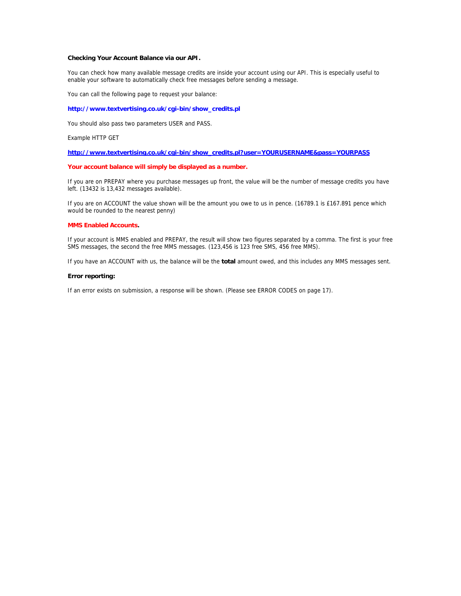### **Checking Your Account Balance via our API.**

You can check how many available message credits are inside your account using our API. This is especially useful to enable your software to automatically check free messages before sending a message.

You can call the following page to request your balance:

#### **http://www.textvertising.co.uk/cgi-bin/show\_credits.pl**

You should also pass two parameters USER and PASS.

Example HTTP GET

### **http://www.textvertising.co.uk/cgi-bin/show\_credits.pl?user=YOURUSERNAME&pass=YOURPASS**

#### **Your account balance will simply be displayed as a number.**

If you are on PREPAY where you purchase messages up front, the value will be the number of message credits you have left. (13432 is 13,432 messages available).

If you are on ACCOUNT the value shown will be the amount you owe to us in pence. (16789.1 is £167.891 pence which would be rounded to the nearest penny)

### **MMS Enabled Accounts.**

If your account is MMS enabled and PREPAY, the result will show two figures separated by a comma. The first is your free SMS messages, the second the free MMS messages. (123,456 is 123 free SMS, 456 free MMS).

If you have an ACCOUNT with us, the balance will be the **total** amount owed, and this includes any MMS messages sent.

## **Error reporting:**

If an error exists on submission, a response will be shown. (Please see ERROR CODES on page 17).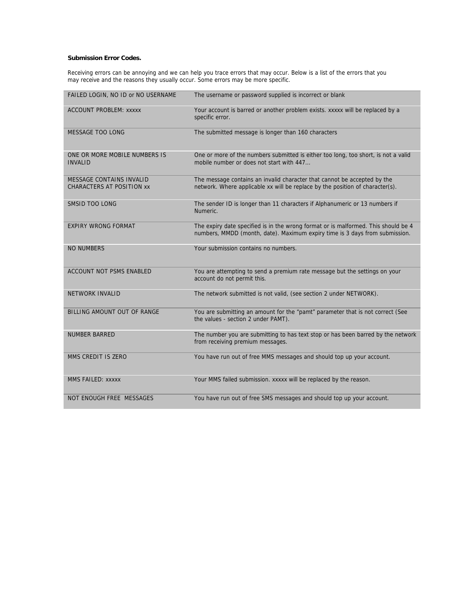# **Submission Error Codes.**

Receiving errors can be annoying and we can help you trace errors that may occur. Below is a list of the errors that you may receive and the reasons they usually occur. Some errors may be more specific.

| FAILED LOGIN, NO ID or NO USERNAME                                  | The username or password supplied is incorrect or blank                                                                                                           |
|---------------------------------------------------------------------|-------------------------------------------------------------------------------------------------------------------------------------------------------------------|
| <b>ACCOUNT PROBLEM: XXXXX</b>                                       | Your account is barred or another problem exists. xxxxx will be replaced by a<br>specific error.                                                                  |
| <b>MESSAGE TOO LONG</b>                                             | The submitted message is longer than 160 characters                                                                                                               |
| ONE OR MORE MOBILE NUMBERS IS<br><b>INVALID</b>                     | One or more of the numbers submitted is either too long, too short, is not a valid<br>mobile number or does not start with 447                                    |
| <b>MESSAGE CONTAINS INVALID</b><br><b>CHARACTERS AT POSITION XX</b> | The message contains an invalid character that cannot be accepted by the<br>network. Where applicable xx will be replace by the position of character(s).         |
| SMSID TOO LONG                                                      | The sender ID is longer than 11 characters if Alphanumeric or 13 numbers if<br>Numeric.                                                                           |
| <b>EXPIRY WRONG FORMAT</b>                                          | The expiry date specified is in the wrong format or is malformed. This should be 4<br>numbers, MMDD (month, date). Maximum expiry time is 3 days from submission. |
| <b>NO NUMBERS</b>                                                   | Your submission contains no numbers.                                                                                                                              |
| ACCOUNT NOT PSMS ENABLED                                            | You are attempting to send a premium rate message but the settings on your<br>account do not permit this.                                                         |
| <b>NETWORK INVALID</b>                                              | The network submitted is not valid, (see section 2 under NETWORK).                                                                                                |
| BILLING AMOUNT OUT OF RANGE                                         | You are submitting an amount for the "pamt" parameter that is not correct (See<br>the values - section 2 under PAMT).                                             |
| <b>NUMBER BARRED</b>                                                | The number you are submitting to has text stop or has been barred by the network<br>from receiving premium messages.                                              |
| MMS CREDIT IS ZERO                                                  | You have run out of free MMS messages and should top up your account.                                                                                             |
| <b>MMS FAILED: XXXXX</b>                                            | Your MMS failed submission. xxxxx will be replaced by the reason.                                                                                                 |
| NOT ENOUGH FREE MESSAGES                                            | You have run out of free SMS messages and should top up your account.                                                                                             |